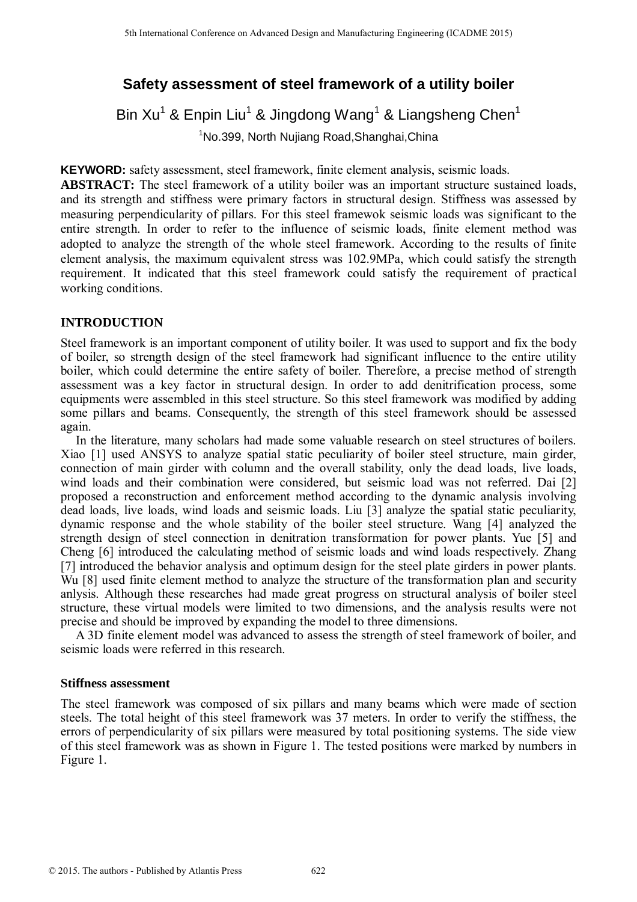# **Safety assessment of steel framework of a utility boiler**

Bin Xu<sup>1</sup> & Enpin Liu<sup>1</sup> & Jingdong Wang<sup>1</sup> & Liangsheng Chen<sup>1</sup> <sup>1</sup>No.399, North Nujiang Road,Shanghai,China

**KEYWORD:** safety assessment, steel framework, finite element analysis, seismic loads.

**ABSTRACT:** The steel framework of a utility boiler was an important structure sustained loads, and its strength and stiffness were primary factors in structural design. Stiffness was assessed by measuring perpendicularity of pillars. For this steel framewok seismic loads was significant to the entire strength. In order to refer to the influence of seismic loads, finite element method was adopted to analyze the strength of the whole steel framework. According to the results of finite element analysis, the maximum equivalent stress was 102.9MPa, which could satisfy the strength requirement. It indicated that this steel framework could satisfy the requirement of practical working conditions.

# **INTRODUCTION**

Steel framework is an important component of utility boiler. It was used to support and fix the body of boiler, so strength design of the steel framework had significant influence to the entire utility boiler, which could determine the entire safety of boiler. Therefore, a precise method of strength assessment was a key factor in structural design. In order to add denitrification process, some equipments were assembled in this steel structure. So this steel framework was modified by adding some pillars and beams. Consequently, the strength of this steel framework should be assessed again.

In the literature, many scholars had made some valuable research on steel structures of boilers. Xiao [1] used ANSYS to analyze spatial static peculiarity of boiler steel structure, main girder, connection of main girder with column and the overall stability, only the dead loads, live loads, wind loads and their combination were considered, but seismic load was not referred. Dai [2] proposed a reconstruction and enforcement method according to the dynamic analysis involving dead loads, live loads, wind loads and seismic loads. Liu [3] analyze the spatial static peculiarity, dynamic response and the whole stability of the boiler steel structure. Wang [4] analyzed the strength design of steel connection in denitration transformation for power plants. Yue [5] and Cheng [6] introduced the calculating method of seismic loads and wind loads respectively. Zhang [7] introduced the behavior analysis and optimum design for the steel plate girders in power plants. Wu [8] used finite element method to analyze the structure of the transformation plan and security anlysis. Although these researches had made great progress on structural analysis of boiler steel structure, these virtual models were limited to two dimensions, and the analysis results were not precise and should be improved by expanding the model to three dimensions. <sup>516</sup> learning Conference on Advanced Design and Manufacturing Engineering Conference on Advanced Design and Conference of **2015** and Manufacturing Rout Shared Design and Hans and Engineering and Engineering and Advanced D

A 3D finite element model was advanced to assess the strength of steel framework of boiler, and seismic loads were referred in this research.

# **Stiffness assessment**

The steel framework was composed of six pillars and many beams which were made of section steels. The total height of this steel framework was 37 meters. In order to verify the stiffness, the errors of perpendicularity of six pillars were measured by total positioning systems. The side view of this steel framework was as shown in Figure 1. The tested positions were marked by numbers in Figure 1.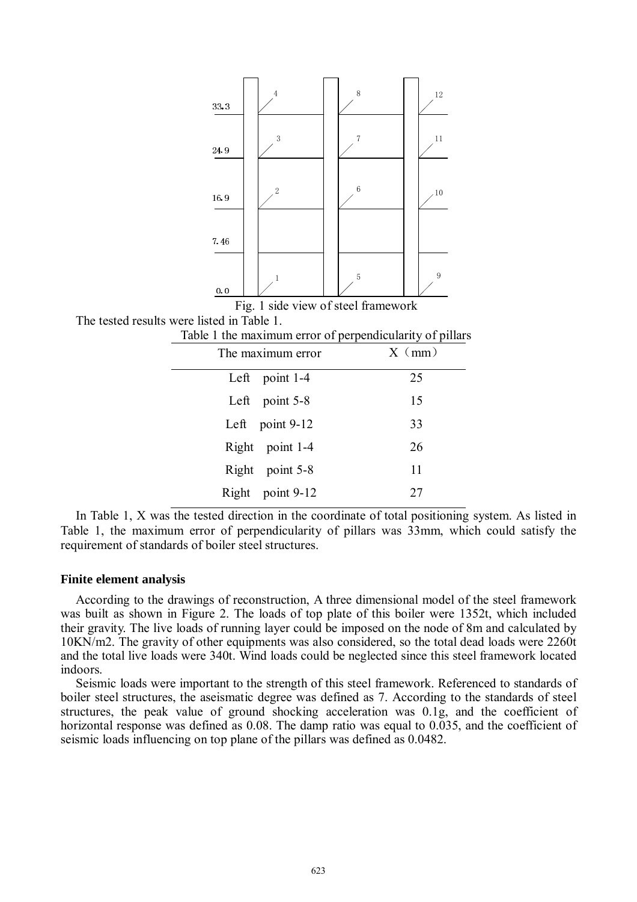

In Table 1, X was the tested direction in the coordinate of total positioning system. As listed in Table 1, the maximum error of perpendicularity of pillars was 33mm, which could satisfy the requirement of standards of boiler steel structures.

#### **Finite element analysis**

According to the drawings of reconstruction, A three dimensional model of the steel framework was built as shown in Figure 2. The loads of top plate of this boiler were 1352t, which included their gravity. The live loads of running layer could be imposed on the node of 8m and calculated by 10KN/m2. The gravity of other equipments was also considered, so the total dead loads were 2260t and the total live loads were 340t. Wind loads could be neglected since this steel framework located indoors.

Seismic loads were important to the strength of this steel framework. Referenced to standards of boiler steel structures, the aseismatic degree was defined as 7. According to the standards of steel structures, the peak value of ground shocking acceleration was 0.1g, and the coefficient of horizontal response was defined as 0.08. The damp ratio was equal to 0.035, and the coefficient of seismic loads influencing on top plane of the pillars was defined as 0.0482.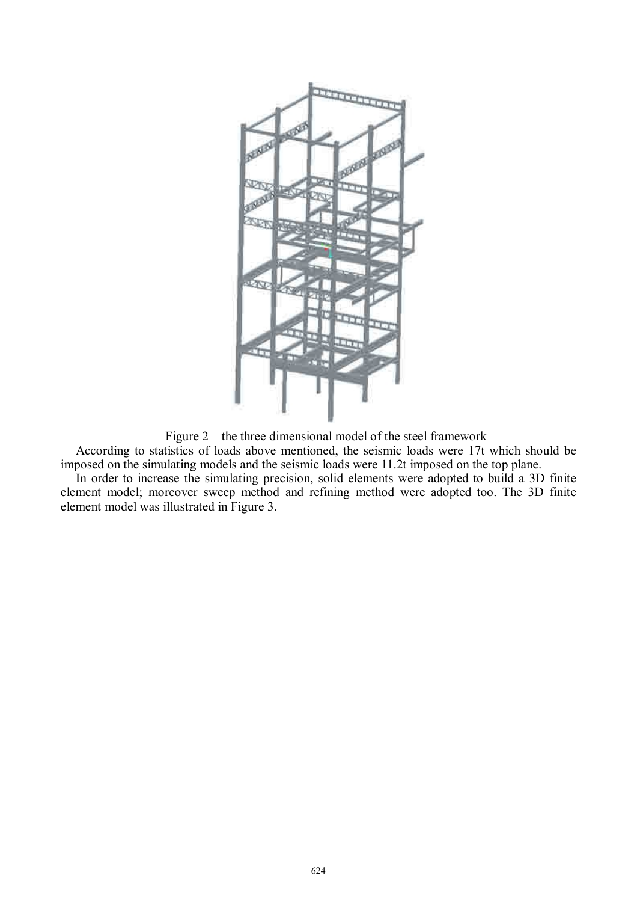

Figure 2 the three dimensional model of the steel framework

According to statistics of loads above mentioned, the seismic loads were 17t which should be imposed on the simulating models and the seismic loads were 11.2t imposed on the top plane.

In order to increase the simulating precision, solid elements were adopted to build a 3D finite element model; moreover sweep method and refining method were adopted too. The 3D finite element model was illustrated in Figure 3.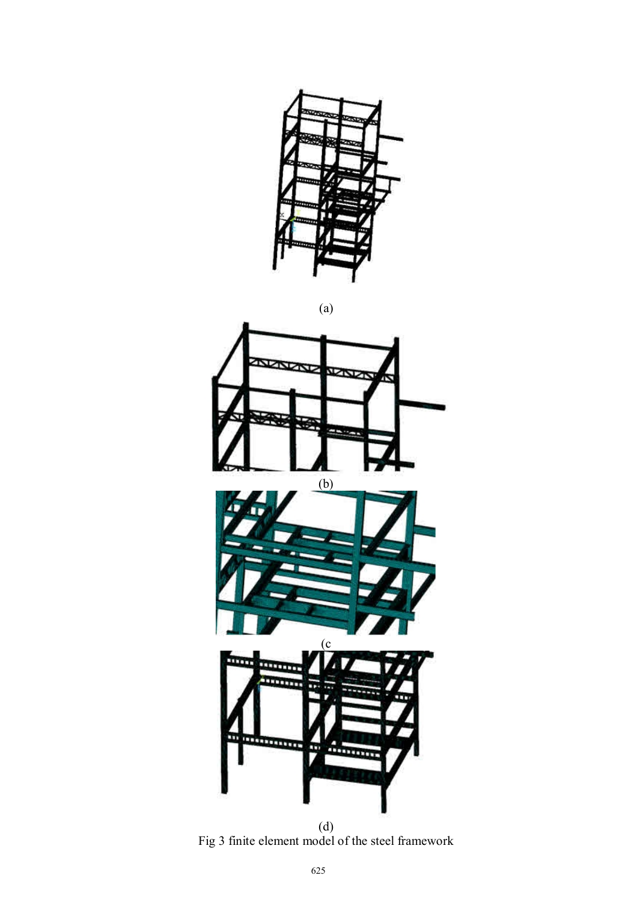





Fig 3 finite element model of the steel framework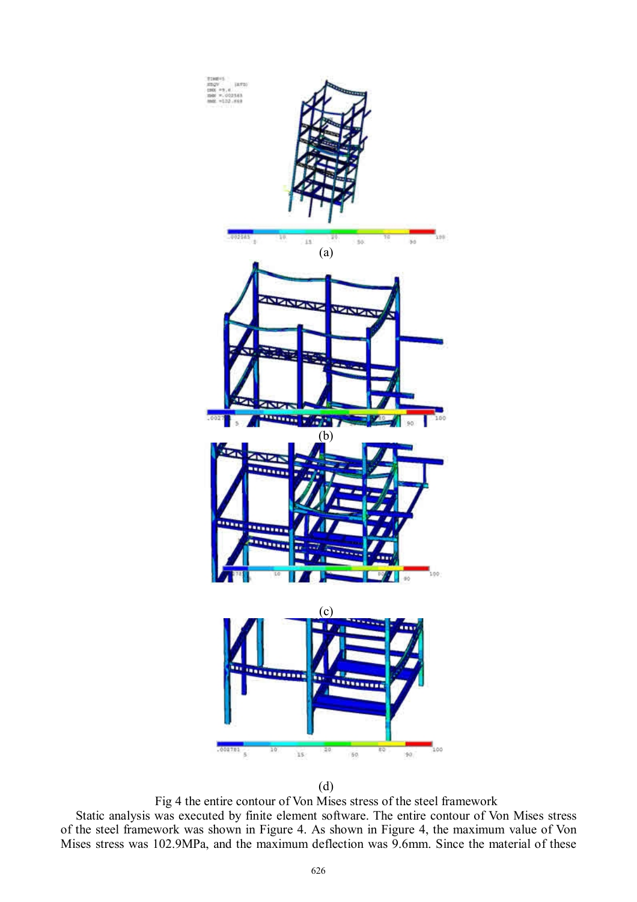

(d)

Fig 4 the entire contour of Von Mises stress of the steel framework

Static analysis was executed by finite element software. The entire contour of Von Mises stress of the steel framework was shown in Figure 4. As shown in Figure 4, the maximum value of Von Mises stress was 102.9MPa, and the maximum deflection was 9.6mm. Since the material of these